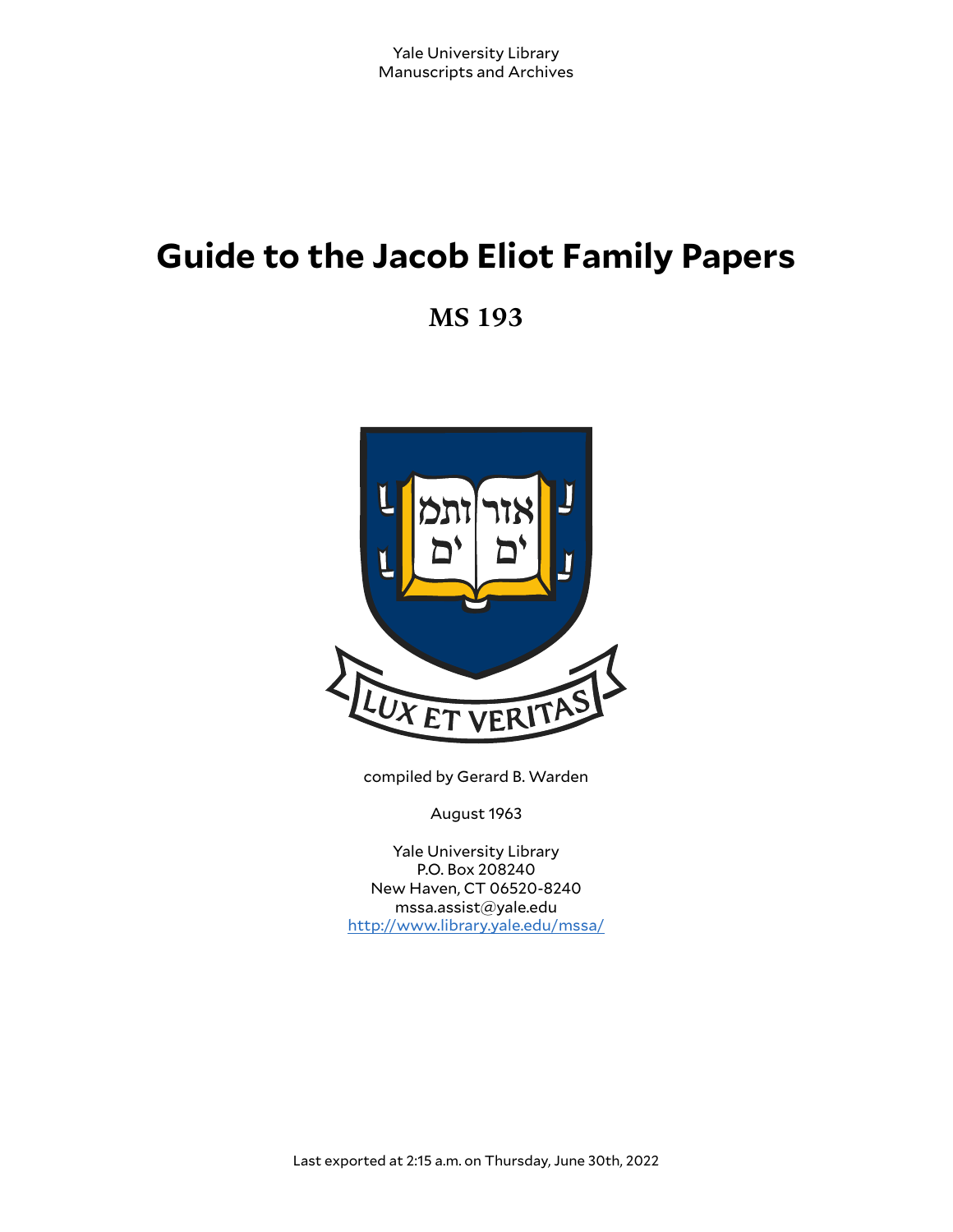# **Guide to the Jacob Eliot Family Papers**

**MS 193**



compiled by Gerard B. Warden

August 1963

Yale University Library P.O. Box 208240 New Haven, CT 06520-8240 mssa.assist@yale.edu <http://www.library.yale.edu/mssa/>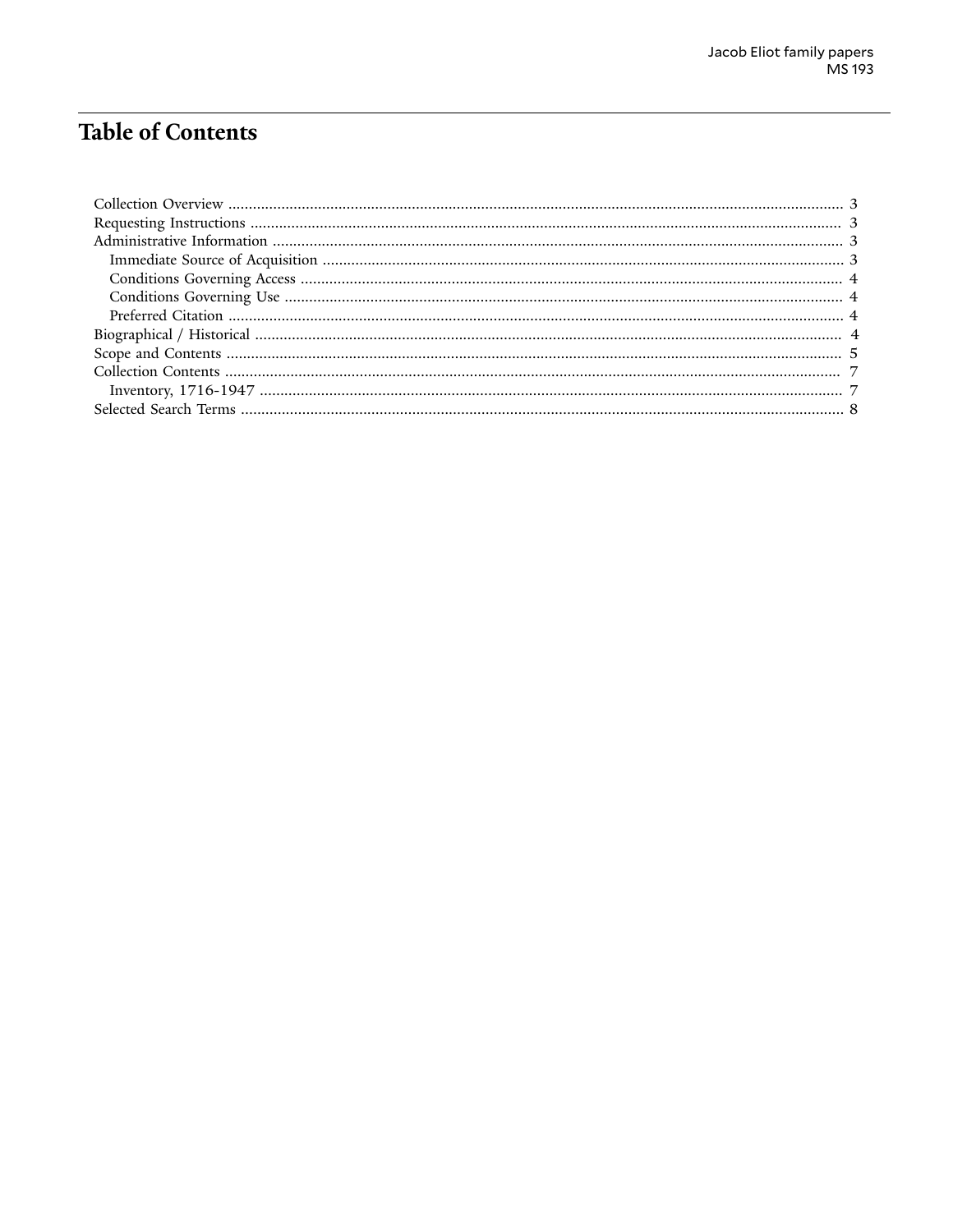# **Table of Contents**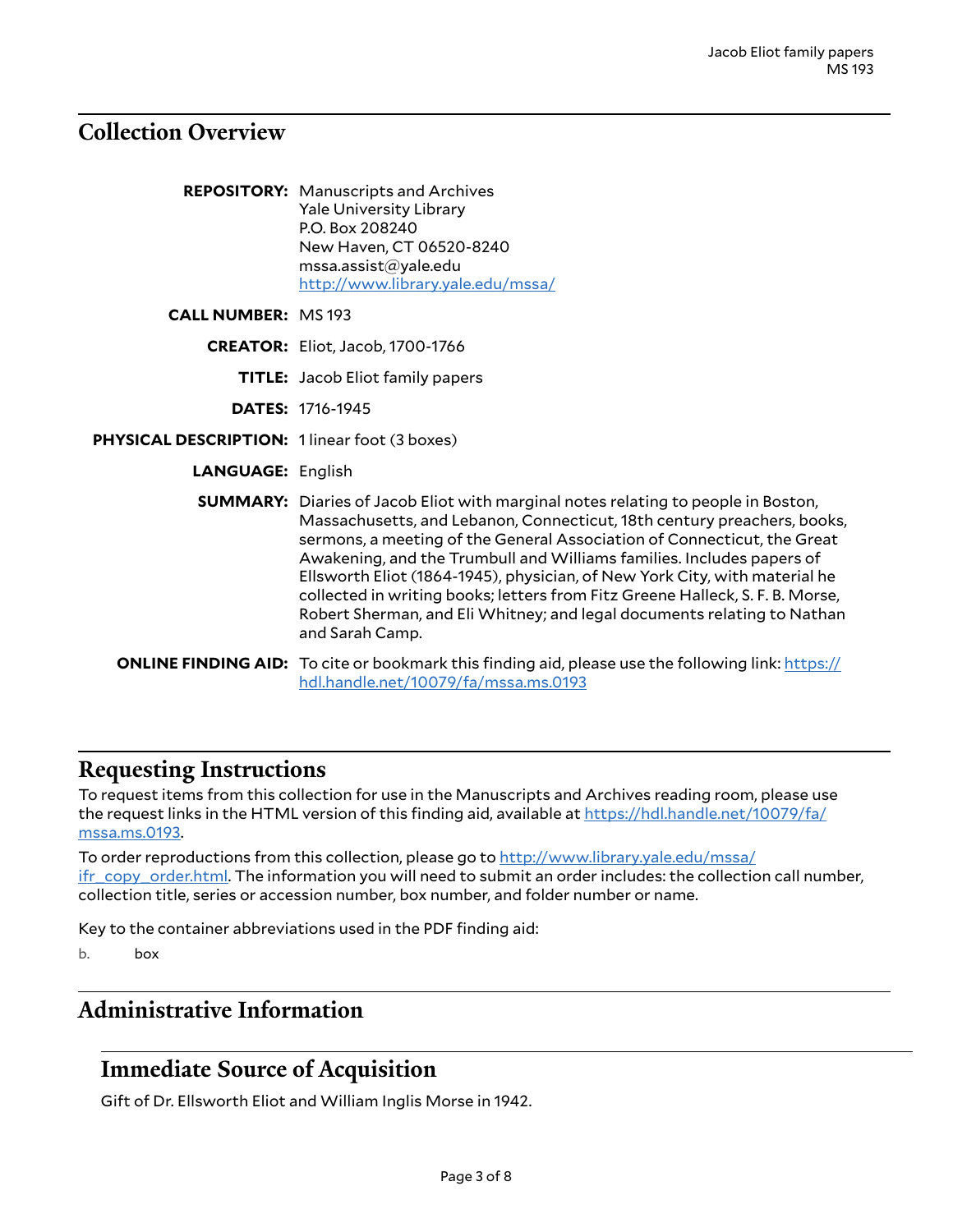#### <span id="page-2-0"></span>**Collection Overview**

| <b>REPOSITORY:</b> Manuscripts and Archives |
|---------------------------------------------|
| <b>Yale University Library</b>              |
| P.O. Box 208240                             |
| New Haven, CT 06520-8240                    |
| mssa.assist@yale.edu                        |
| http://www.library.yale.edu/mssa/           |

**CALL NUMBER:** MS 193

**CREATOR:** Eliot, Jacob, 1700-1766

**TITLE:** Jacob Eliot family papers

**DATES:** 1716-1945

- **PHYSICAL DESCRIPTION:** 1 linear foot (3 boxes)
	- **LANGUAGE:** English
	- **SUMMARY:** Diaries of Jacob Eliot with marginal notes relating to people in Boston, Massachusetts, and Lebanon, Connecticut, 18th century preachers, books, sermons, a meeting of the General Association of Connecticut, the Great Awakening, and the Trumbull and Williams families. Includes papers of Ellsworth Eliot (1864-1945), physician, of New York City, with material he collected in writing books; letters from Fitz Greene Halleck, S. F. B. Morse, Robert Sherman, and Eli Whitney; and legal documents relating to Nathan and Sarah Camp.

**ONLINE FINDING AID:** To cite or bookmark this finding aid, please use the following link: [https://](https://hdl.handle.net/10079/fa/mssa.ms.0193) [hdl.handle.net/10079/fa/mssa.ms.0193](https://hdl.handle.net/10079/fa/mssa.ms.0193)

#### <span id="page-2-1"></span>**Requesting Instructions**

To request items from this collection for use in the Manuscripts and Archives reading room, please use the request links in the HTML version of this finding aid, available at [https://hdl.handle.net/10079/fa/](https://hdl.handle.net/10079/fa/mssa.ms.0193) [mssa.ms.0193](https://hdl.handle.net/10079/fa/mssa.ms.0193).

To order reproductions from this collection, please go to [http://www.library.yale.edu/mssa/](http://www.library.yale.edu/mssa/ifr_copy_order.html) [ifr\\_copy\\_order.html.](http://www.library.yale.edu/mssa/ifr_copy_order.html) The information you will need to submit an order includes: the collection call number, collection title, series or accession number, box number, and folder number or name.

Key to the container abbreviations used in the PDF finding aid:

b. box

#### <span id="page-2-2"></span>**Administrative Information**

## <span id="page-2-3"></span>**Immediate Source of Acquisition**

Gift of Dr. Ellsworth Eliot and William Inglis Morse in 1942.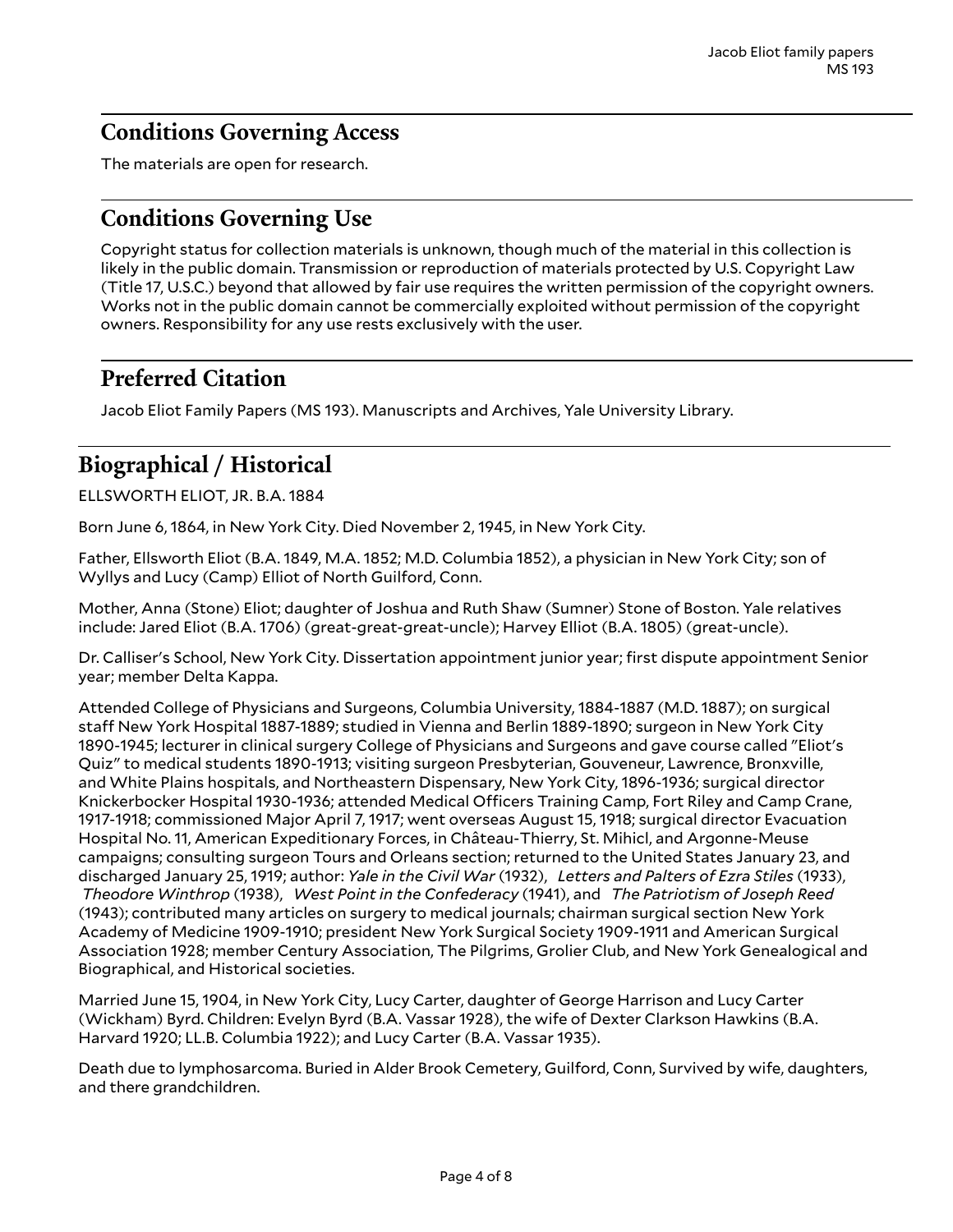## <span id="page-3-0"></span>**Conditions Governing Access**

The materials are open for research.

## <span id="page-3-1"></span>**Conditions Governing Use**

Copyright status for collection materials is unknown, though much of the material in this collection is likely in the public domain. Transmission or reproduction of materials protected by U.S. Copyright Law (Title 17, U.S.C.) beyond that allowed by fair use requires the written permission of the copyright owners. Works not in the public domain cannot be commercially exploited without permission of the copyright owners. Responsibility for any use rests exclusively with the user.

## <span id="page-3-2"></span>**Preferred Citation**

Jacob Eliot Family Papers (MS 193). Manuscripts and Archives, Yale University Library.

## <span id="page-3-3"></span>**Biographical / Historical**

ELLSWORTH ELIOT, JR. B.A. 1884

Born June 6, 1864, in New York City. Died November 2, 1945, in New York City.

Father, Ellsworth Eliot (B.A. 1849, M.A. 1852; M.D. Columbia 1852), a physician in New York City; son of Wyllys and Lucy (Camp) Elliot of North Guilford, Conn.

Mother, Anna (Stone) Eliot; daughter of Joshua and Ruth Shaw (Sumner) Stone of Boston. Yale relatives include: Jared Eliot (B.A. 1706) (great-great-great-uncle); Harvey Elliot (B.A. 1805) (great-uncle).

Dr. Calliser's School, New York City. Dissertation appointment junior year; first dispute appointment Senior year; member Delta Kappa.

Attended College of Physicians and Surgeons, Columbia University, 1884-1887 (M.D. 1887); on surgical staff New York Hospital 1887-1889; studied in Vienna and Berlin 1889-1890; surgeon in New York City 1890-1945; lecturer in clinical surgery College of Physicians and Surgeons and gave course called "Eliot's Quiz" to medical students 1890-1913; visiting surgeon Presbyterian, Gouveneur, Lawrence, Bronxville, and White Plains hospitals, and Northeastern Dispensary, New York City, 1896-1936; surgical director Knickerbocker Hospital 1930-1936; attended Medical Officers Training Camp, Fort Riley and Camp Crane, 1917-1918; commissioned Major April 7, 1917; went overseas August 15, 1918; surgical director Evacuation Hospital No. 11, American Expeditionary Forces, in Château-Thierry, St. Mihicl, and Argonne-Meuse campaigns; consulting surgeon Tours and Orleans section; returned to the United States January 23, and discharged January 25, 1919; author: *Yale in the Civil War* (1932), *Letters and Palters of Ezra Stiles* (1933), *Theodore Winthrop* (1938), *West Point in the Confederacy* (1941), and *The Patriotism of Joseph Reed* (1943); contributed many articles on surgery to medical journals; chairman surgical section New York Academy of Medicine 1909-1910; president New York Surgical Society 1909-1911 and American Surgical Association 1928; member Century Association, The Pilgrims, Grolier Club, and New York Genealogical and Biographical, and Historical societies.

Married June 15, 1904, in New York City, Lucy Carter, daughter of George Harrison and Lucy Carter (Wickham) Byrd. Children: Evelyn Byrd (B.A. Vassar 1928), the wife of Dexter Clarkson Hawkins (B.A. Harvard 1920; LL.B. Columbia 1922); and Lucy Carter (B.A. Vassar 1935).

Death due to lymphosarcoma. Buried in Alder Brook Cemetery, Guilford, Conn, Survived by wife, daughters, and there grandchildren.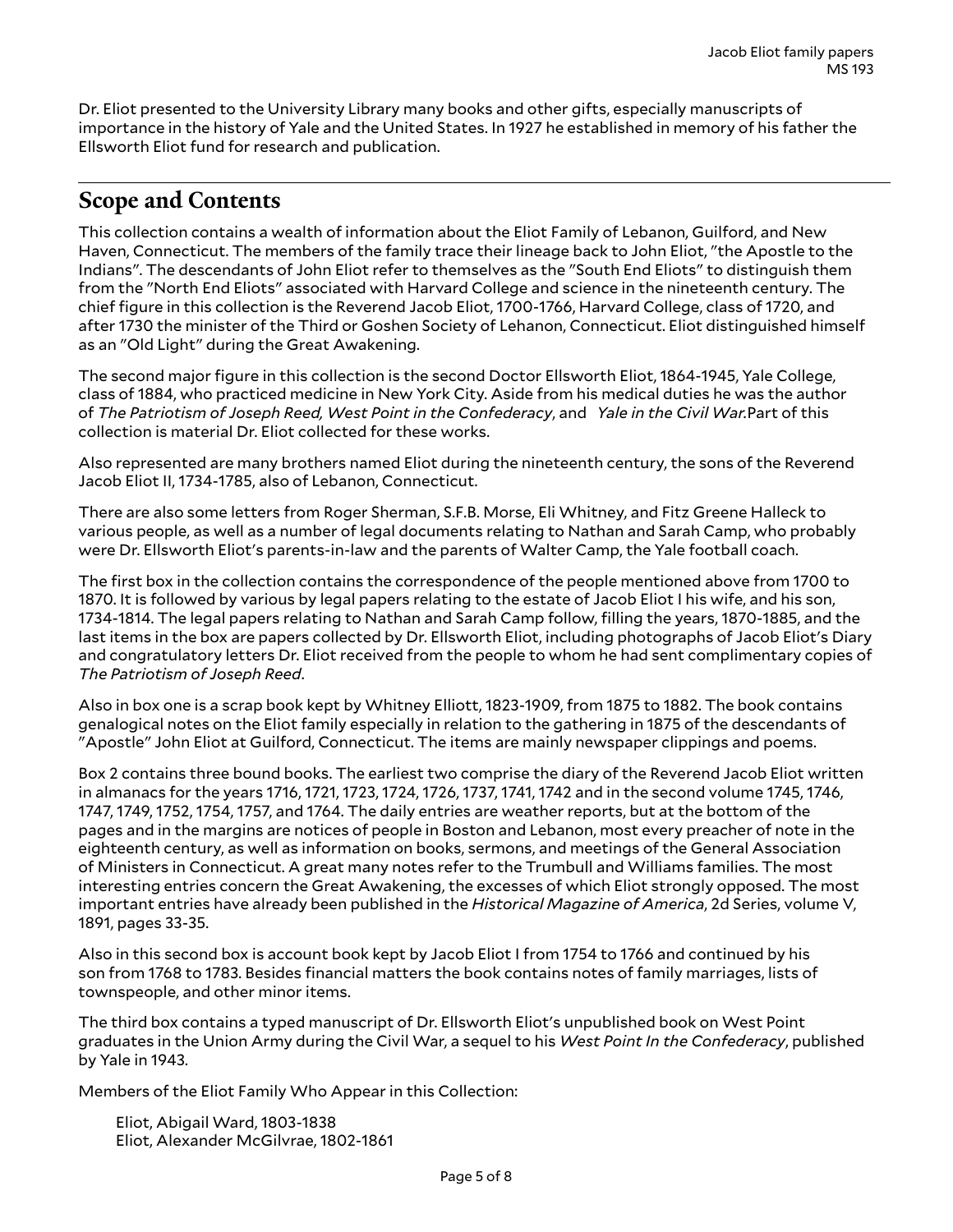Dr. Eliot presented to the University Library many books and other gifts, especially manuscripts of importance in the history of Yale and the United States. In 1927 he established in memory of his father the Ellsworth Eliot fund for research and publication.

## <span id="page-4-0"></span>**Scope and Contents**

This collection contains a wealth of information about the Eliot Family of Lebanon, Guilford, and New Haven, Connecticut. The members of the family trace their lineage back to John Eliot, "the Apostle to the Indians". The descendants of John Eliot refer to themselves as the "South End Eliots" to distinguish them from the "North End Eliots" associated with Harvard College and science in the nineteenth century. The chief figure in this collection is the Reverend Jacob Eliot, 1700-1766, Harvard College, class of 1720, and after 1730 the minister of the Third or Goshen Society of Lehanon, Connecticut. Eliot distinguished himself as an "Old Light" during the Great Awakening.

The second major figure in this collection is the second Doctor Ellsworth Eliot, 1864-1945, Yale College, class of 1884, who practiced medicine in New York City. Aside from his medical duties he was the author of *The Patriotism of Joseph Reed, West Point in the Confederacy*, and *Yale in the Civil War.*Part of this collection is material Dr. Eliot collected for these works.

Also represented are many brothers named Eliot during the nineteenth century, the sons of the Reverend Jacob Eliot II, 1734-1785, also of Lebanon, Connecticut.

There are also some letters from Roger Sherman, S.F.B. Morse, Eli Whitney, and Fitz Greene Halleck to various people, as well as a number of legal documents relating to Nathan and Sarah Camp, who probably were Dr. Ellsworth Eliot's parents-in-law and the parents of Walter Camp, the Yale football coach.

The first box in the collection contains the correspondence of the people mentioned above from 1700 to 1870. It is followed by various by legal papers relating to the estate of Jacob Eliot I his wife, and his son, 1734-1814. The legal papers relating to Nathan and Sarah Camp follow, filling the years, 1870-1885, and the last items in the box are papers collected by Dr. Ellsworth Eliot, including photographs of Jacob Eliot's Diary and congratulatory letters Dr. Eliot received from the people to whom he had sent complimentary copies of *The Patriotism of Joseph Reed*.

Also in box one is a scrap book kept by Whitney Elliott, 1823-1909, from 1875 to 1882. The book contains genalogical notes on the Eliot family especially in relation to the gathering in 1875 of the descendants of "Apostle" John Eliot at Guilford, Connecticut. The items are mainly newspaper clippings and poems.

Box 2 contains three bound books. The earliest two comprise the diary of the Reverend Jacob Eliot written in almanacs for the years 1716, 1721, 1723, 1724, 1726, 1737, 1741, 1742 and in the second volume 1745, 1746, 1747, 1749, 1752, 1754, 1757, and 1764. The daily entries are weather reports, but at the bottom of the pages and in the margins are notices of people in Boston and Lebanon, most every preacher of note in the eighteenth century, as well as information on books, sermons, and meetings of the General Association of Ministers in Connecticut. A great many notes refer to the Trumbull and Williams families. The most interesting entries concern the Great Awakening, the excesses of which Eliot strongly opposed. The most important entries have already been published in the *Historical Magazine of America*, 2d Series, volume V, 1891, pages 33-35.

Also in this second box is account book kept by Jacob Eliot I from 1754 to 1766 and continued by his son from 1768 to 1783. Besides financial matters the book contains notes of family marriages, lists of townspeople, and other minor items.

The third box contains a typed manuscript of Dr. Ellsworth Eliot's unpublished book on West Point graduates in the Union Army during the Civil War, a sequel to his *West Point In the Confederacy*, published by Yale in 1943.

Members of the Eliot Family Who Appear in this Collection:

Eliot, Abigail Ward, 1803-1838 Eliot, Alexander McGilvrae, 1802-1861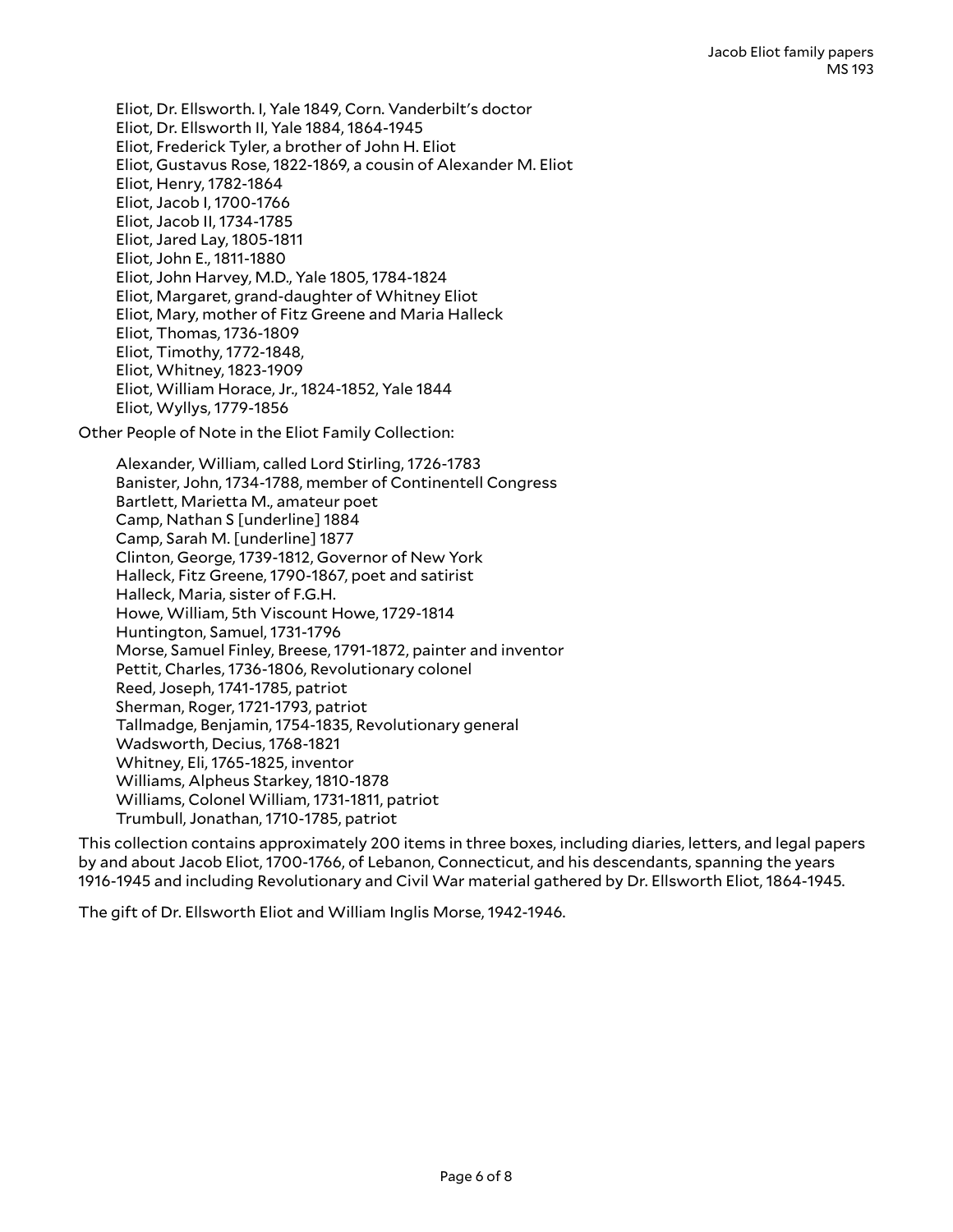Eliot, Dr. Ellsworth. I, Yale 1849, Corn. Vanderbilt's doctor Eliot, Dr. Ellsworth II, Yale 1884, 1864-1945 Eliot, Frederick Tyler, a brother of John H. Eliot Eliot, Gustavus Rose, 1822-1869, a cousin of Alexander M. Eliot Eliot, Henry, 1782-1864 Eliot, Jacob I, 1700-1766 Eliot, Jacob II, 1734-1785 Eliot, Jared Lay, 1805-1811 Eliot, John E., 1811-1880 Eliot, John Harvey, M.D., Yale 1805, 1784-1824 Eliot, Margaret, grand-daughter of Whitney Eliot Eliot, Mary, mother of Fitz Greene and Maria Halleck Eliot, Thomas, 1736-1809 Eliot, Timothy, 1772-1848, Eliot, Whitney, 1823-1909 Eliot, William Horace, Jr., 1824-1852, Yale 1844 Eliot, Wyllys, 1779-1856

Other People of Note in the Eliot Family Collection:

Alexander, William, called Lord Stirling, 1726-1783 Banister, John, 1734-1788, member of Continentell Congress Bartlett, Marietta M., amateur poet Camp, Nathan S [underline] 1884 Camp, Sarah M. [underline] 1877 Clinton, George, 1739-1812, Governor of New York Halleck, Fitz Greene, 1790-1867, poet and satirist Halleck, Maria, sister of F.G.H. Howe, William, 5th Viscount Howe, 1729-1814 Huntington, Samuel, 1731-1796 Morse, Samuel Finley, Breese, 1791-1872, painter and inventor Pettit, Charles, 1736-1806, Revolutionary colonel Reed, Joseph, 1741-1785, patriot Sherman, Roger, 1721-1793, patriot Tallmadge, Benjamin, 1754-1835, Revolutionary general Wadsworth, Decius, 1768-1821 Whitney, Eli, 1765-1825, inventor Williams, Alpheus Starkey, 1810-1878 Williams, Colonel William, 1731-1811, patriot Trumbull, Jonathan, 1710-1785, patriot

This collection contains approximately 200 items in three boxes, including diaries, letters, and legal papers by and about Jacob Eliot, 1700-1766, of Lebanon, Connecticut, and his descendants, spanning the years 1916-1945 and including Revolutionary and Civil War material gathered by Dr. Ellsworth Eliot, 1864-1945.

The gift of Dr. Ellsworth Eliot and William Inglis Morse, 1942-1946.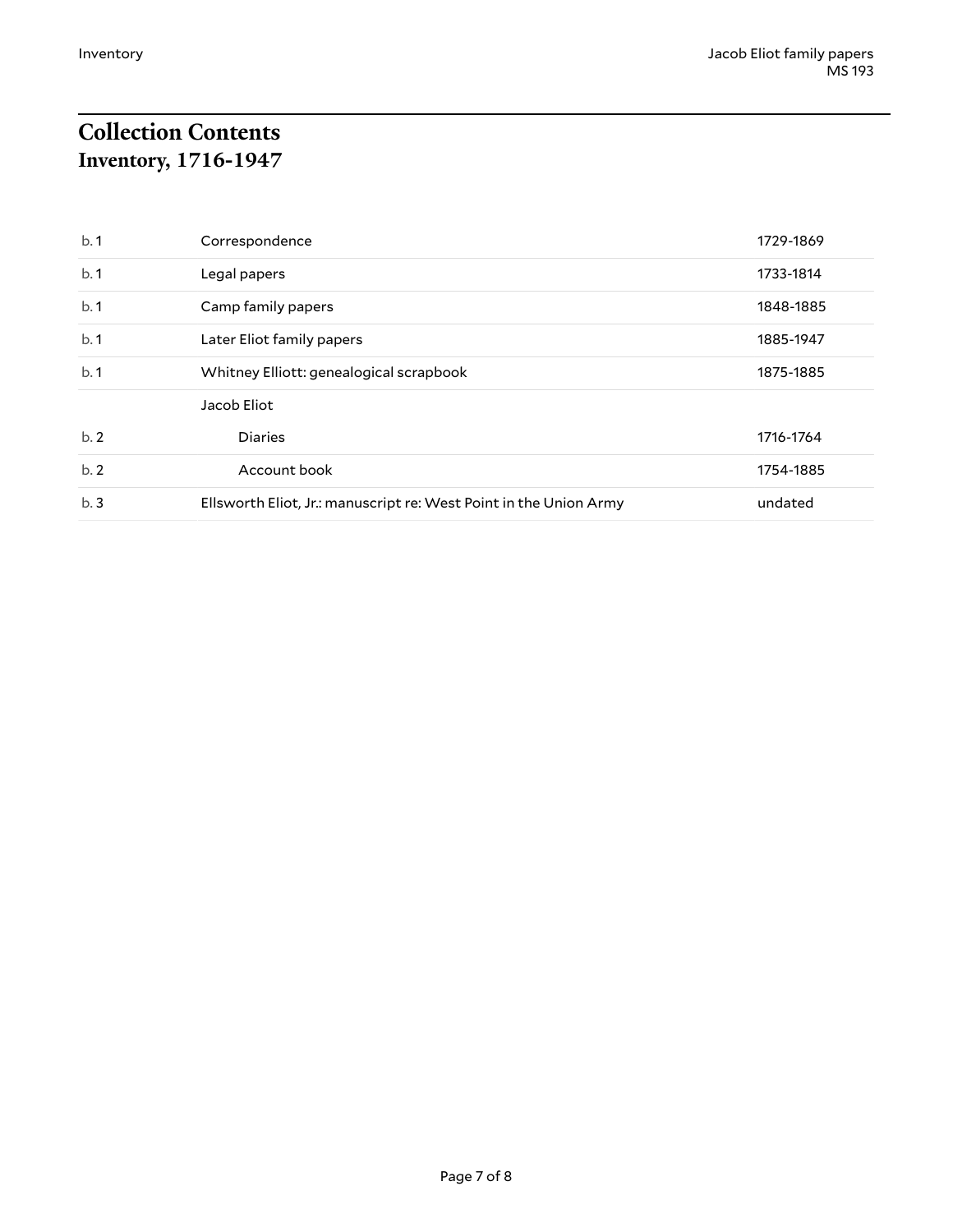# <span id="page-6-1"></span><span id="page-6-0"></span>**Collection Contents Inventory, 1716-1947**

| b.1 | Correspondence                                                    | 1729-1869 |
|-----|-------------------------------------------------------------------|-----------|
| b.1 | Legal papers                                                      | 1733-1814 |
| b.1 | Camp family papers                                                | 1848-1885 |
| b.1 | Later Eliot family papers                                         | 1885-1947 |
| b.1 | Whitney Elliott: genealogical scrapbook                           | 1875-1885 |
|     | Jacob Eliot                                                       |           |
| b.2 | <b>Diaries</b>                                                    | 1716-1764 |
| b.2 | Account book                                                      | 1754-1885 |
| b.3 | Ellsworth Eliot, Jr.: manuscript re: West Point in the Union Army | undated   |